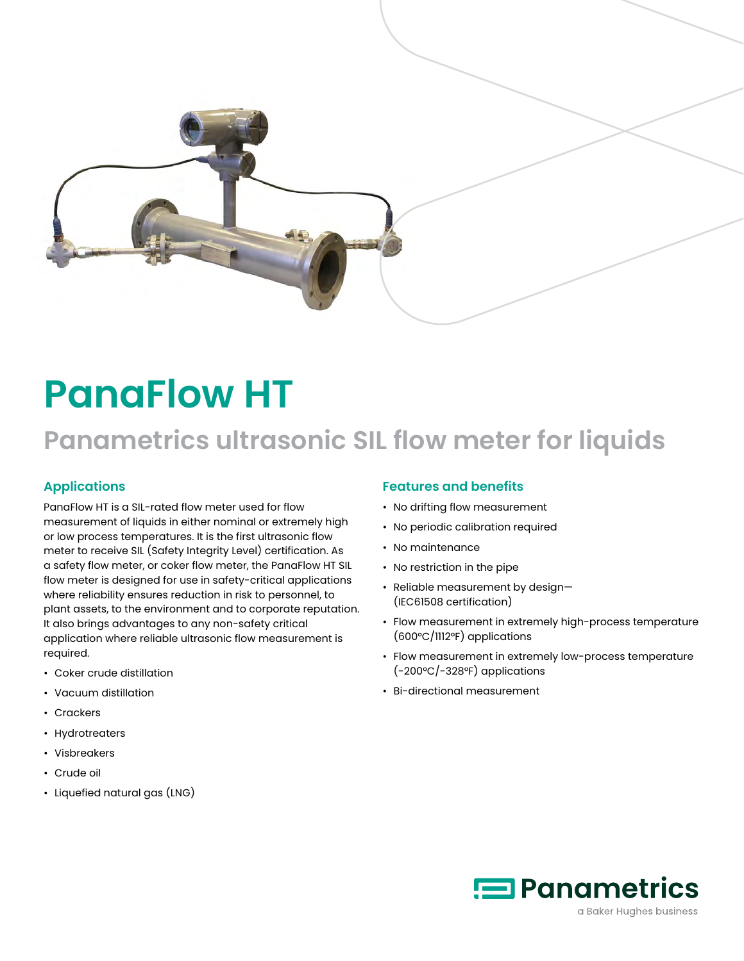

# **PanaFlow HT**

## **Panametrics ultrasonic SIL flow meter for liquids**

## **Applications**

PanaFlow HT is a SIL-rated flow meter used for flow measurement of liquids in either nominal or extremely high or low process temperatures. It is the first ultrasonic flow meter to receive SIL (Safety Integrity Level) certification. As a safety flow meter, or coker flow meter, the PanaFlow HT SIL flow meter is designed for use in safety-critical applications where reliability ensures reduction in risk to personnel, to plant assets, to the environment and to corporate reputation. It also brings advantages to any non-safety critical application where reliable ultrasonic flow measurement is required.

- Coker crude distillation
- Vacuum distillation
- Crackers
- Hydrotreaters
- Visbreakers
- Crude oil
- Liquefied natural gas (LNG)

#### **Features and benefits**

- No drifting flow measurement
- No periodic calibration required
- No maintenance
- No restriction in the pipe
- Reliable measurement by design— (IEC61508 certification)
- Flow measurement in extremely high-process temperature (600°C/1112°F) applications
- Flow measurement in extremely low-process temperature (-200°C/-328°F) applications
- Bi-directional measurement

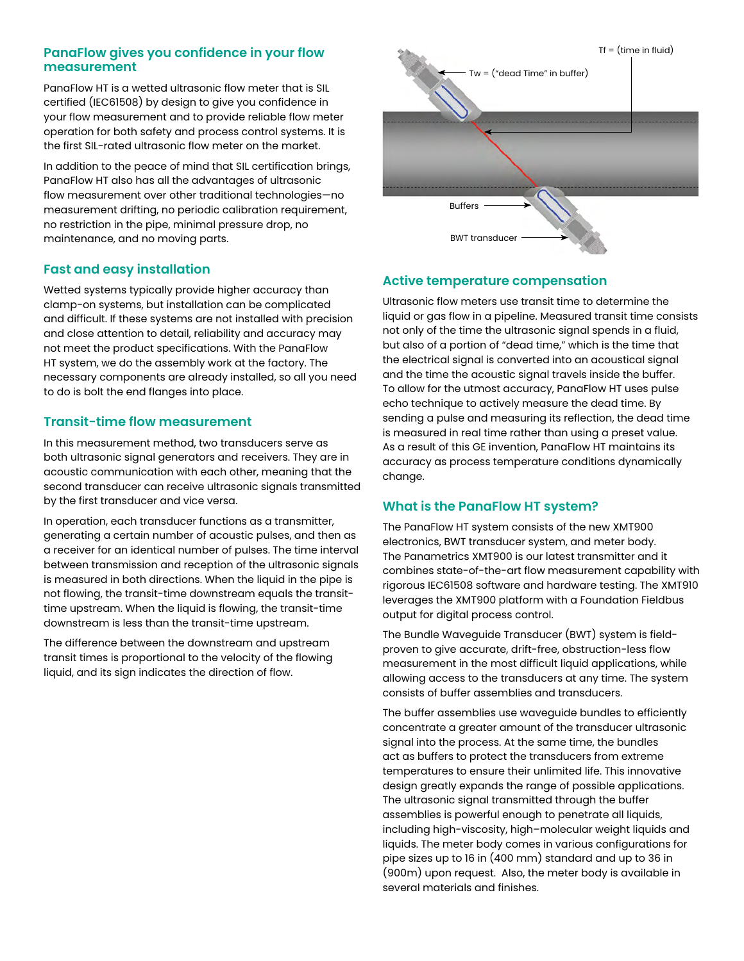#### **PanaFlow gives you confidence in your flow measurement**

PanaFlow HT is a wetted ultrasonic flow meter that is SIL certified (IEC61508) by design to give you confidence in your flow measurement and to provide reliable flow meter operation for both safety and process control systems. It is the first SIL-rated ultrasonic flow meter on the market.

In addition to the peace of mind that SIL certification brings, PanaFlow HT also has all the advantages of ultrasonic flow measurement over other traditional technologies—no measurement drifting, no periodic calibration requirement, no restriction in the pipe, minimal pressure drop, no maintenance, and no moving parts.

#### **Fast and easy installation**

Wetted systems typically provide higher accuracy than clamp-on systems, but installation can be complicated and difficult. If these systems are not installed with precision and close attention to detail, reliability and accuracy may not meet the product specifications. With the PanaFlow HT system, we do the assembly work at the factory. The necessary components are already installed, so all you need to do is bolt the end flanges into place.

#### **Transit-time flow measurement**

In this measurement method, two transducers serve as both ultrasonic signal generators and receivers. They are in acoustic communication with each other, meaning that the second transducer can receive ultrasonic signals transmitted by the first transducer and vice versa.

In operation, each transducer functions as a transmitter, generating a certain number of acoustic pulses, and then as a receiver for an identical number of pulses. The time interval between transmission and reception of the ultrasonic signals is measured in both directions. When the liquid in the pipe is not flowing, the transit-time downstream equals the transittime upstream. When the liquid is flowing, the transit-time downstream is less than the transit-time upstream.

The difference between the downstream and upstream transit times is proportional to the velocity of the flowing liquid, and its sign indicates the direction of flow.



### **Active temperature compensation**

Ultrasonic flow meters use transit time to determine the liquid or gas flow in a pipeline. Measured transit time consists not only of the time the ultrasonic signal spends in a fluid, but also of a portion of "dead time," which is the time that the electrical signal is converted into an acoustical signal and the time the acoustic signal travels inside the buffer. To allow for the utmost accuracy, PanaFlow HT uses pulse echo technique to actively measure the dead time. By sending a pulse and measuring its reflection, the dead time is measured in real time rather than using a preset value. As a result of this GE invention, PanaFlow HT maintains its accuracy as process temperature conditions dynamically change.

#### **What is the PanaFlow HT system?**

The PanaFlow HT system consists of the new XMT900 electronics, BWT transducer system, and meter body. The Panametrics XMT900 is our latest transmitter and it combines state-of-the-art flow measurement capability with rigorous IEC61508 software and hardware testing. The XMT910 leverages the XMT900 platform with a Foundation Fieldbus output for digital process control.

The Bundle Waveguide Transducer (BWT) system is fieldproven to give accurate, drift-free, obstruction-less flow measurement in the most difficult liquid applications, while allowing access to the transducers at any time. The system consists of buffer assemblies and transducers.

The buffer assemblies use waveguide bundles to efficiently concentrate a greater amount of the transducer ultrasonic signal into the process. At the same time, the bundles act as buffers to protect the transducers from extreme temperatures to ensure their unlimited life. This innovative design greatly expands the range of possible applications. The ultrasonic signal transmitted through the buffer assemblies is powerful enough to penetrate all liquids, including high-viscosity, high–molecular weight liquids and liquids. The meter body comes in various configurations for pipe sizes up to 16 in (400 mm) standard and up to 36 in (900m) upon request. Also, the meter body is available in several materials and finishes.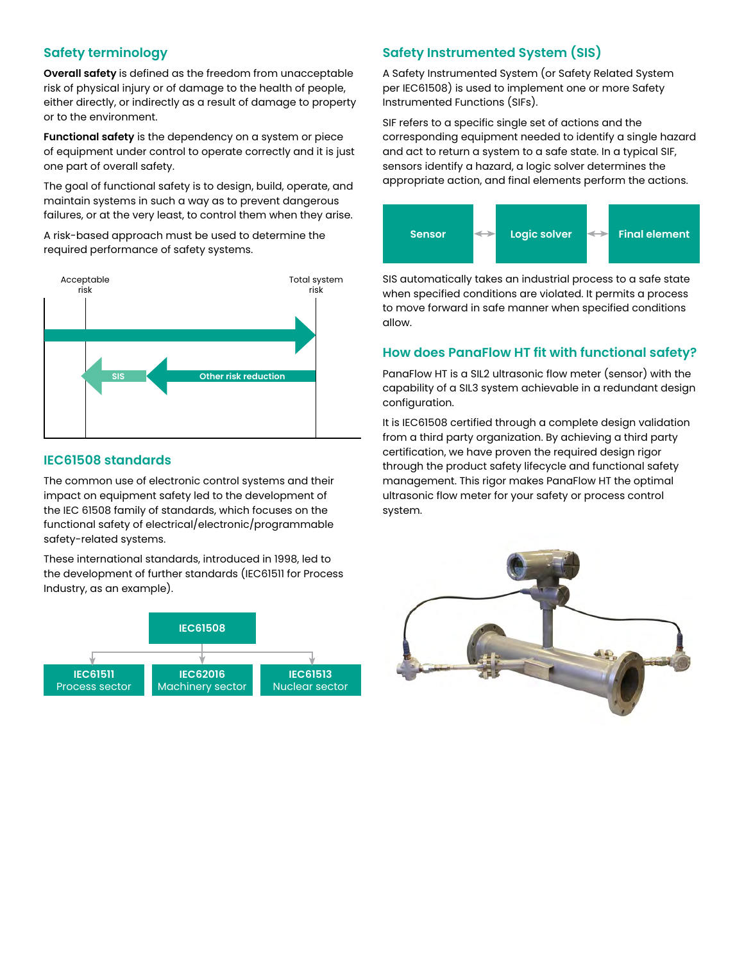#### **Safety terminology**

**Overall safety** is defined as the freedom from unacceptable risk of physical injury or of damage to the health of people, either directly, or indirectly as a result of damage to property or to the environment.

**Functional safety** is the dependency on a system or piece of equipment under control to operate correctly and it is just one part of overall safety.

The goal of functional safety is to design, build, operate, and maintain systems in such a way as to prevent dangerous failures, or at the very least, to control them when they arise.

A risk-based approach must be used to determine the required performance of safety systems.



#### **IEC61508 standards**

The common use of electronic control systems and their impact on equipment safety led to the development of the IEC 61508 family of standards, which focuses on the functional safety of electrical/electronic/programmable safety-related systems.

These international standards, introduced in 1998, led to the development of further standards (IEC61511 for Process Industry, as an example).



## **Safety Instrumented System (SIS)**

A Safety Instrumented System (or Safety Related System per IEC61508) is used to implement one or more Safety Instrumented Functions (SIFs).

SIF refers to a specific single set of actions and the corresponding equipment needed to identify a single hazard and act to return a system to a safe state. In a typical SIF, sensors identify a hazard, a logic solver determines the appropriate action, and final elements perform the actions.



SIS automatically takes an industrial process to a safe state when specified conditions are violated. It permits a process to move forward in safe manner when specified conditions allow.

#### **How does PanaFlow HT fit with functional safety?**

PanaFlow HT is a SIL2 ultrasonic flow meter (sensor) with the capability of a SIL3 system achievable in a redundant design configuration.

It is IEC61508 certified through a complete design validation from a third party organization. By achieving a third party certification, we have proven the required design rigor through the product safety lifecycle and functional safety management. This rigor makes PanaFlow HT the optimal ultrasonic flow meter for your safety or process control system.

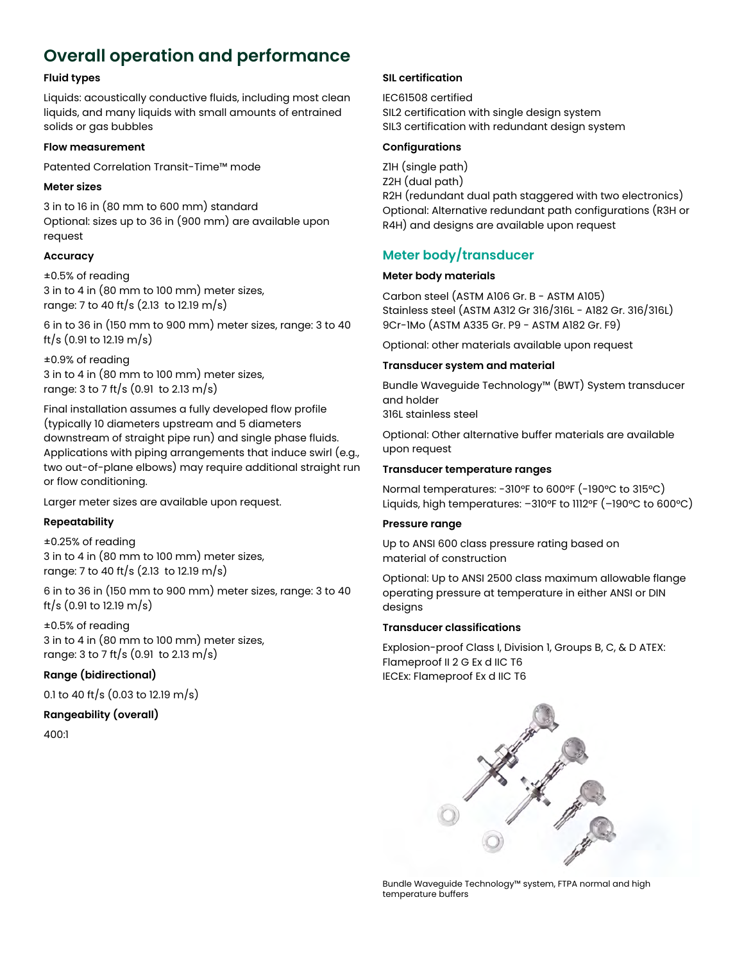## **Overall operation and performance**

#### **Fluid types**

Liquids: acoustically conductive fluids, including most clean liquids, and many liquids with small amounts of entrained solids or gas bubbles

#### **Flow measurement**

Patented Correlation Transit-Time™ mode

#### **Meter sizes**

3 in to 16 in (80 mm to 600 mm) standard Optional: sizes up to 36 in (900 mm) are available upon request

#### **Accuracy**

±0.5% of reading 3 in to 4 in (80 mm to 100 mm) meter sizes, range: 7 to 40 ft/s (2.13 to 12.19 m/s)

6 in to 36 in (150 mm to 900 mm) meter sizes, range: 3 to 40 ft/s (0.91 to 12.19 m/s)

±0.9% of reading 3 in to 4 in (80 mm to 100 mm) meter sizes, range: 3 to 7 ft/s (0.91 to 2.13 m/s)

Final installation assumes a fully developed flow profile (typically 10 diameters upstream and 5 diameters downstream of straight pipe run) and single phase fluids. Applications with piping arrangements that induce swirl (e.g., two out-of-plane elbows) may require additional straight run or flow conditioning.

Larger meter sizes are available upon request.

#### **Repeatability**

±0.25% of reading 3 in to 4 in (80 mm to 100 mm) meter sizes, range: 7 to 40 ft/s (2.13 to 12.19 m/s)

6 in to 36 in (150 mm to 900 mm) meter sizes, range: 3 to 40 ft/s (0.91 to 12.19 m/s)

±0.5% of reading 3 in to 4 in (80 mm to 100 mm) meter sizes, range: 3 to 7 ft/s (0.91 to 2.13 m/s)

#### **Range (bidirectional)**

0.1 to 40 ft/s (0.03 to 12.19 m/s)

#### **Rangeability (overall)**

400:1

#### **SIL certification**

IEC61508 certified SIL2 certification with single design system SIL3 certification with redundant design system

#### **Configurations**

Z1H (single path) Z2H (dual path) R2H (redundant dual path staggered with two electronics) Optional: Alternative redundant path configurations (R3H or R4H) and designs are available upon request

### **Meter body/transducer**

#### **Meter body materials**

Carbon steel (ASTM A106 Gr. B - ASTM A105) Stainless steel (ASTM A312 Gr 316/316L - A182 Gr. 316/316L) 9Cr-1Mo (ASTM A335 Gr. P9 - ASTM A182 Gr. F9)

Optional: other materials available upon request

#### **Transducer system and material**

Bundle Waveguide Technology™ (BWT) System transducer and holder

316L stainless steel

Optional: Other alternative buffer materials are available upon request

#### **Transducer temperature ranges**

Normal temperatures: -310°F to 600°F (-190°C to 315°C) Liquids, high temperatures: –310°F to 1112°F (–190°C to 600°C)

#### **Pressure range**

Up to ANSI 600 class pressure rating based on material of construction

Optional: Up to ANSI 2500 class maximum allowable flange operating pressure at temperature in either ANSI or DIN designs

#### **Transducer classifications**

Explosion-proof Class I, Division 1, Groups B, C, & D ATEX: Flameproof II 2 G Ex d IIC T6 IECEx: Flameproof Ex d IIC T6



Bundle Waveguide Technology™ system, FTPA normal and high temperature buffers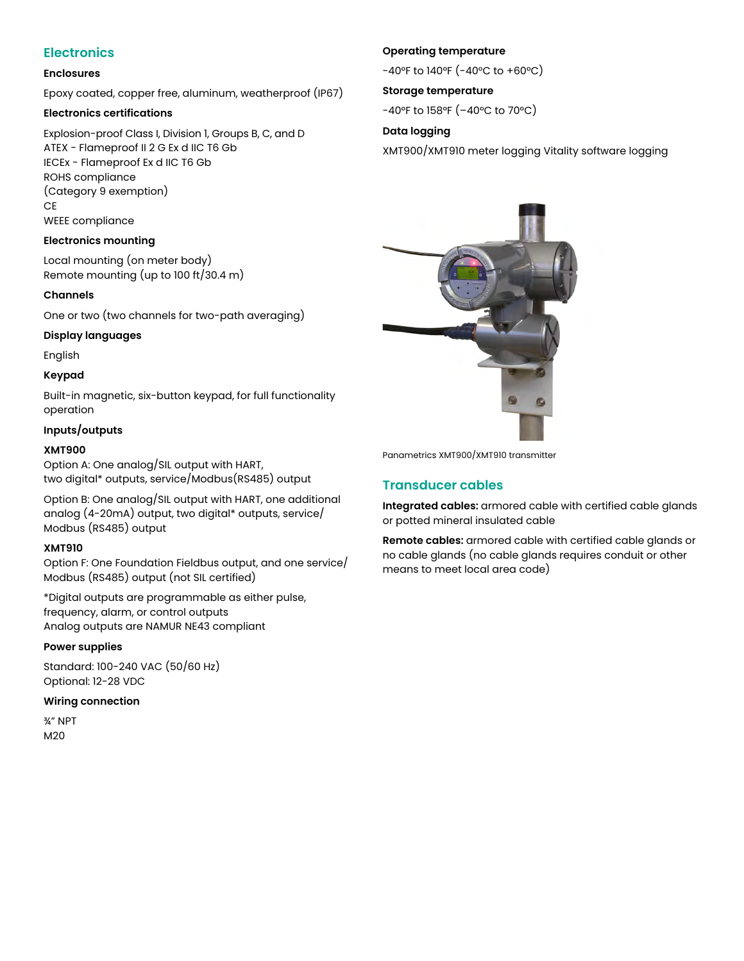## **Electronics**

#### **Enclosures**

Epoxy coated, copper free, aluminum, weatherproof (IP67)

#### **Electronics certifications**

Explosion-proof Class I, Division 1, Groups B, C, and D ATEX - Flameproof II 2 G Ex d IIC T6 Gb IECEx - Flameproof Ex d IIC T6 Gb ROHS compliance (Category 9 exemption) CE WEEE compliance

#### **Electronics mounting**

Local mounting (on meter body) Remote mounting (up to 100 ft/30.4 m)

#### **Channels**

One or two (two channels for two-path averaging)

#### **Display languages**

English

#### **Keypad**

Built-in magnetic, six-button keypad, for full functionality operation

#### **Inputs/outputs**

#### **XMT900**

Option A: One analog/SIL output with HART, two digital\* outputs, service/Modbus(RS485) output

Option B: One analog/SIL output with HART, one additional analog (4-20mA) output, two digital\* outputs, service/ Modbus (RS485) output

#### **XMT910**

Option F: One Foundation Fieldbus output, and one service/ Modbus (RS485) output (not SIL certified)

\*Digital outputs are programmable as either pulse, frequency, alarm, or control outputs Analog outputs are NAMUR NE43 compliant

#### **Power supplies**

Standard: 100-240 VAC (50/60 Hz) Optional: 12-28 VDC

#### **Wiring connection**

¾" NPT M20

#### **Operating temperature**

-40°F to 140°F (-40°C to +60°C)

#### **Storage temperature**

-40°F to 158°F (–40°C to 70°C)

#### **Data logging**

XMT900/XMT910 meter logging Vitality software logging



Panametrics XMT900/XMT910 transmitter

#### **Transducer cables**

**Integrated cables:** armored cable with certified cable glands or potted mineral insulated cable

**Remote cables:** armored cable with certified cable glands or no cable glands (no cable glands requires conduit or other means to meet local area code)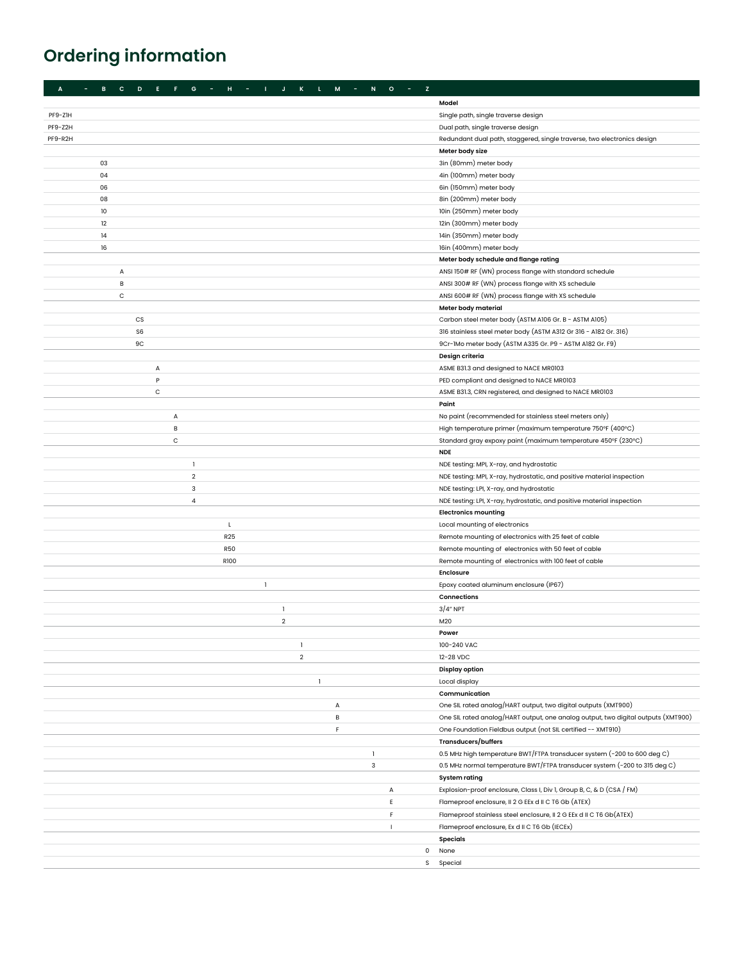## **Ordering information**

| $H = -1$<br>$\mathbf{L}$ .<br>$\mathsf{M}% _{T}=\mathsf{M}_{T}\!\left( a,b\right) ,\ \mathsf{M}_{T}=\mathsf{M}_{T}\!\left( a,b\right) ,$<br>$\mathsf{N}$<br>$0 - 1$<br>$\mathbf{z}$<br>$\sim$<br>$\mathbf{B}$<br>$\mathbf{c}$<br>D<br>E.<br>F.<br>G<br>$\mathbf{I}$<br>$\mathbf{J}$<br>$\,$ K<br>$\sim 100$<br>A<br><b>State State</b> |                                                                                                                                                     |
|----------------------------------------------------------------------------------------------------------------------------------------------------------------------------------------------------------------------------------------------------------------------------------------------------------------------------------------|-----------------------------------------------------------------------------------------------------------------------------------------------------|
|                                                                                                                                                                                                                                                                                                                                        | Model                                                                                                                                               |
| PF9-Z1H                                                                                                                                                                                                                                                                                                                                | Single path, single traverse design                                                                                                                 |
| PF9-Z2H                                                                                                                                                                                                                                                                                                                                | Dual path, single traverse design                                                                                                                   |
| PF9-R2H                                                                                                                                                                                                                                                                                                                                | Redundant dual path, staggered, single traverse, two electronics design                                                                             |
|                                                                                                                                                                                                                                                                                                                                        | Meter body size                                                                                                                                     |
| 03                                                                                                                                                                                                                                                                                                                                     | 3in (80mm) meter body                                                                                                                               |
| 04                                                                                                                                                                                                                                                                                                                                     | 4in (100mm) meter body                                                                                                                              |
| 06                                                                                                                                                                                                                                                                                                                                     | 6in (150mm) meter body                                                                                                                              |
| 08                                                                                                                                                                                                                                                                                                                                     | 8in (200mm) meter body                                                                                                                              |
| 10                                                                                                                                                                                                                                                                                                                                     | 10in (250mm) meter body                                                                                                                             |
| 12                                                                                                                                                                                                                                                                                                                                     | 12in (300mm) meter body                                                                                                                             |
| 14                                                                                                                                                                                                                                                                                                                                     | 14in (350mm) meter body                                                                                                                             |
| 16                                                                                                                                                                                                                                                                                                                                     | 16in (400mm) meter body                                                                                                                             |
|                                                                                                                                                                                                                                                                                                                                        | Meter body schedule and flange rating                                                                                                               |
| А                                                                                                                                                                                                                                                                                                                                      | ANSI 150# RF (WN) process flange with standard schedule                                                                                             |
| В                                                                                                                                                                                                                                                                                                                                      | ANSI 300# RF (WN) process flange with XS schedule                                                                                                   |
| С                                                                                                                                                                                                                                                                                                                                      | ANSI 600# RF (WN) process flange with XS schedule                                                                                                   |
|                                                                                                                                                                                                                                                                                                                                        | Meter body material                                                                                                                                 |
| CS                                                                                                                                                                                                                                                                                                                                     | Carbon steel meter body (ASTM A106 Gr. B - ASTM A105)                                                                                               |
| S <sub>6</sub>                                                                                                                                                                                                                                                                                                                         | 316 stainless steel meter body (ASTM A312 Gr 316 - A182 Gr. 316)                                                                                    |
| 9C                                                                                                                                                                                                                                                                                                                                     | 9Cr-1Mo meter body (ASTM A335 Gr. P9 - ASTM A182 Gr. F9)                                                                                            |
|                                                                                                                                                                                                                                                                                                                                        | Design criteria                                                                                                                                     |
| А                                                                                                                                                                                                                                                                                                                                      | ASME B31.3 and designed to NACE MR0103                                                                                                              |
| P                                                                                                                                                                                                                                                                                                                                      | PED compliant and designed to NACE MR0103                                                                                                           |
| C                                                                                                                                                                                                                                                                                                                                      | ASME B31.3, CRN registered, and designed to NACE MR0103                                                                                             |
|                                                                                                                                                                                                                                                                                                                                        | Paint                                                                                                                                               |
| A                                                                                                                                                                                                                                                                                                                                      | No paint (recommended for stainless steel meters only)                                                                                              |
| B<br>C                                                                                                                                                                                                                                                                                                                                 | High temperature primer (maximum temperature 750°F (400°C)<br>Standard gray expoxy paint (maximum temperature 450°F (230°C)                         |
|                                                                                                                                                                                                                                                                                                                                        | <b>NDE</b>                                                                                                                                          |
| 1                                                                                                                                                                                                                                                                                                                                      | NDE testing: MPI, X-ray, and hydrostatic                                                                                                            |
| $\overline{2}$                                                                                                                                                                                                                                                                                                                         | NDE testing: MPI, X-ray, hydrostatic, and positive material inspection                                                                              |
| 3                                                                                                                                                                                                                                                                                                                                      | NDE testing: LPI, X-ray, and hydrostatic                                                                                                            |
| $\overline{a}$                                                                                                                                                                                                                                                                                                                         | NDE testing: LPI, X-ray, hydrostatic, and positive material inspection                                                                              |
|                                                                                                                                                                                                                                                                                                                                        | <b>Electronics mounting</b>                                                                                                                         |
| L                                                                                                                                                                                                                                                                                                                                      | Local mounting of electronics                                                                                                                       |
| R25                                                                                                                                                                                                                                                                                                                                    | Remote mounting of electronics with 25 feet of cable                                                                                                |
| <b>R50</b>                                                                                                                                                                                                                                                                                                                             | Remote mounting of electronics with 50 feet of cable                                                                                                |
| <b>R100</b>                                                                                                                                                                                                                                                                                                                            | Remote mounting of electronics with 100 feet of cable                                                                                               |
|                                                                                                                                                                                                                                                                                                                                        | <b>Enclosure</b>                                                                                                                                    |
| $\mathbf{1}$                                                                                                                                                                                                                                                                                                                           | Epoxy coated aluminum enclosure (IP67)                                                                                                              |
|                                                                                                                                                                                                                                                                                                                                        | Connections                                                                                                                                         |
| $\mathbf{1}$                                                                                                                                                                                                                                                                                                                           | $3/4"$ NPT                                                                                                                                          |
| $\overline{2}$                                                                                                                                                                                                                                                                                                                         | M20                                                                                                                                                 |
|                                                                                                                                                                                                                                                                                                                                        | Power                                                                                                                                               |
| 1                                                                                                                                                                                                                                                                                                                                      | 100-240 VAC                                                                                                                                         |
| $\overline{2}$                                                                                                                                                                                                                                                                                                                         | 12-28 VDC                                                                                                                                           |
|                                                                                                                                                                                                                                                                                                                                        | <b>Display option</b>                                                                                                                               |
| 1                                                                                                                                                                                                                                                                                                                                      | Local display                                                                                                                                       |
|                                                                                                                                                                                                                                                                                                                                        | Communication                                                                                                                                       |
| А<br>В                                                                                                                                                                                                                                                                                                                                 | One SIL rated analog/HART output, two digital outputs (XMT900)<br>One SIL rated analog/HART output, one analog output, two digital outputs (XMT900) |
| F                                                                                                                                                                                                                                                                                                                                      | One Foundation Fieldbus output (not SIL certified -- XMT910)                                                                                        |
|                                                                                                                                                                                                                                                                                                                                        | <b>Transducers/buffers</b>                                                                                                                          |
| $\mathbf{1}$                                                                                                                                                                                                                                                                                                                           | 0.5 MHz high temperature BWT/FTPA transducer system (-200 to 600 deg C)                                                                             |
| 3                                                                                                                                                                                                                                                                                                                                      | 0.5 MHz normal temperature BWT/FTPA transducer system (-200 to 315 deg C)                                                                           |
|                                                                                                                                                                                                                                                                                                                                        | <b>System rating</b>                                                                                                                                |
| А                                                                                                                                                                                                                                                                                                                                      | Explosion-proof enclosure, Class I, Div I, Group B, C, & D (CSA / FM)                                                                               |
| E                                                                                                                                                                                                                                                                                                                                      | Flameproof enclosure, II 2 G EEx d II C T6 Gb (ATEX)                                                                                                |
| F                                                                                                                                                                                                                                                                                                                                      | Flameproof stainless steel enclosure, II 2 G EEx d II C T6 Gb(ATEX)                                                                                 |
| $\mathbf{I}$                                                                                                                                                                                                                                                                                                                           | Flameproof enclosure, Ex d II C T6 Gb (IECEx)                                                                                                       |
|                                                                                                                                                                                                                                                                                                                                        | <b>Specials</b>                                                                                                                                     |
| 0                                                                                                                                                                                                                                                                                                                                      | None                                                                                                                                                |
|                                                                                                                                                                                                                                                                                                                                        | S Special                                                                                                                                           |
|                                                                                                                                                                                                                                                                                                                                        |                                                                                                                                                     |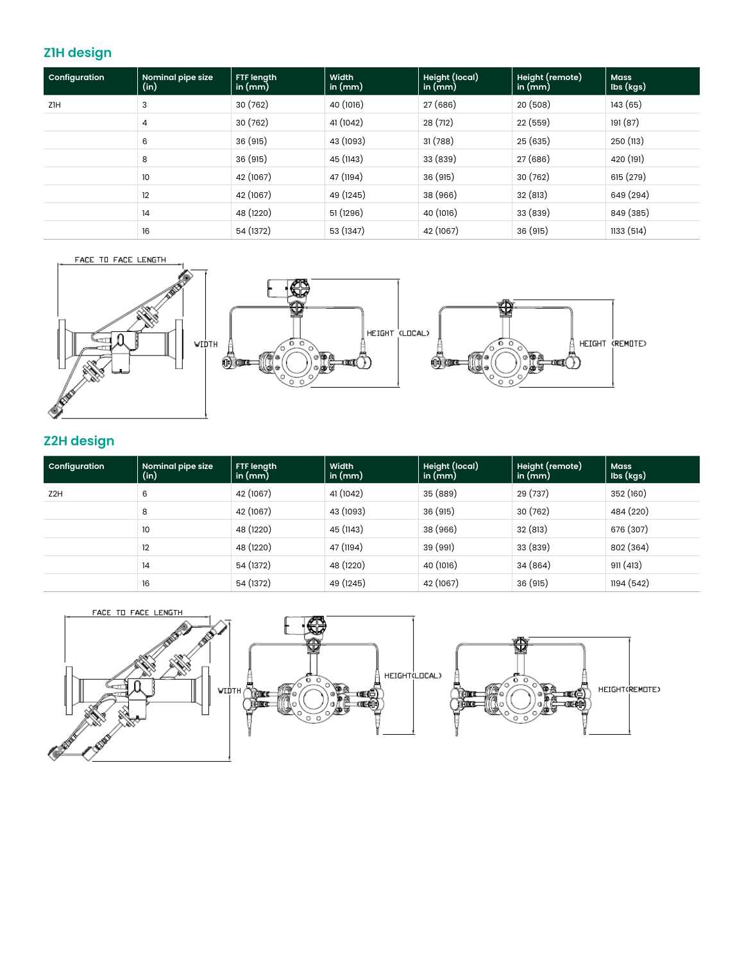## **Z1H design**

| Configuration | Nominal pipe size<br>(in) | FTF length<br>in $(mm)$ | Width<br>in $(mm)$ | Height (local)<br>in $(mm)$ | Height (remote)<br>in $(mm)$ | <b>Mass</b><br>Ibs (kgs) |
|---------------|---------------------------|-------------------------|--------------------|-----------------------------|------------------------------|--------------------------|
| ZIH           | 3                         | 30 (762)                | 40 (1016)          | 27 (686)                    | 20(508)                      | 143 (65)                 |
|               | 4                         | 30 (762)                | 41 (1042)          | 28 (712)                    | 22 (559)                     | 191 (87)                 |
|               | 6                         | 36 (915)                | 43 (1093)          | 31(788)                     | 25 (635)                     | 250 (113)                |
|               | 8                         | 36 (915)                | 45 (1143)          | 33 (839)                    | 27 (686)                     | 420 (191)                |
|               | 10                        | 42 (1067)               | 47 (1194)          | 36 (915)                    | 30 (762)                     | 615 (279)                |
|               | 12                        | 42 (1067)               | 49 (1245)          | 38 (966)                    | 32 (813)                     | 649 (294)                |
|               | 14                        | 48 (1220)               | 51 (1296)          | 40 (1016)                   | 33 (839)                     | 849 (385)                |
|               | 16                        | 54 (1372)               | 53 (1347)          | 42 (1067)                   | 36 (915)                     | 1133 (514)               |



## **Z2H design**

| Configuration   | Nominal pipe size<br>(in) | FTF length<br>in $(mm)$ | Width<br>in $(mm)$ | Height (local)<br>in $(mm)$ | Height (remote)<br>in $(mm)$ | <b>Mass</b><br>Ibs (kgs) |
|-----------------|---------------------------|-------------------------|--------------------|-----------------------------|------------------------------|--------------------------|
| Z <sub>2H</sub> | 6                         | 42 (1067)               | 41 (1042)          | 35 (889)                    | 29 (737)                     | 352 (160)                |
|                 | 8                         | 42 (1067)               | 43 (1093)          | 36 (915)                    | 30(762)                      | 484 (220)                |
|                 | 10                        | 48 (1220)               | 45 (1143)          | 38 (966)                    | 32 (813)                     | 676 (307)                |
|                 | 12                        | 48 (1220)               | 47 (1194)          | 39 (991)                    | 33 (839)                     | 802 (364)                |
|                 | 14                        | 54 (1372)               | 48 (1220)          | 40 (1016)                   | 34 (864)                     | 911(413)                 |
|                 | 16                        | 54 (1372)               | 49 (1245)          | 42 (1067)                   | 36 (915)                     | 1194 (542)               |